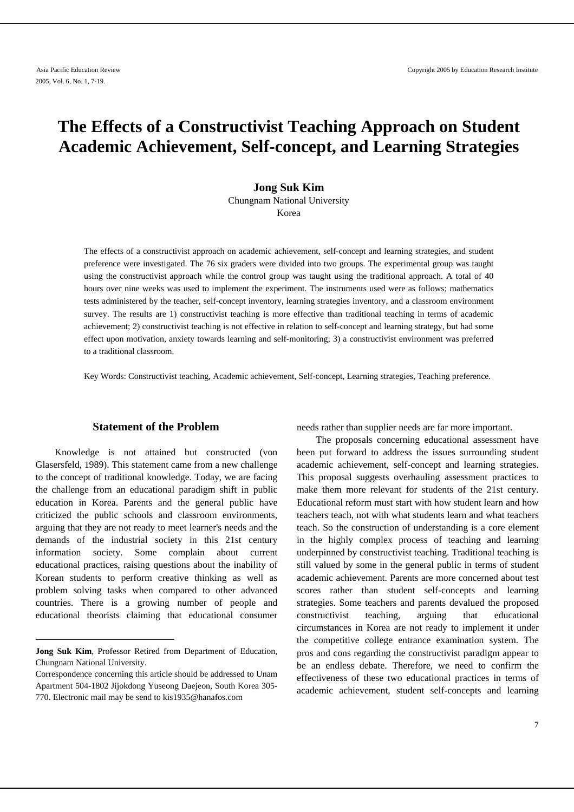# **The Effects of a Constructivist Teaching Approach on Student Academic Achievement, Self-concept, and Learning Strategies**

# **Jong Suk Kim**  Chungnam National University Korea

The effects of a constructivist approach on academic achievement, self-concept and learning strategies, and student preference were investigated. The 76 six graders were divided into two groups. The experimental group was taught using the constructivist approach while the control group was taught using the traditional approach. A total of 40 hours over nine weeks was used to implement the experiment. The instruments used were as follows; mathematics tests administered by the teacher, self-concept inventory, learning strategies inventory, and a classroom environment survey. The results are 1) constructivist teaching is more effective than traditional teaching in terms of academic achievement; 2) constructivist teaching is not effective in relation to self-concept and learning strategy, but had some effect upon motivation, anxiety towards learning and self-monitoring; 3) a constructivist environment was preferred to a traditional classroom.

Key Words: Constructivist teaching, Academic achievement, Self-concept, Learning strategies, Teaching preference.

# **1 Statement of the Problem**

Knowledge is not attained but constructed (von Glasersfeld, 1989). This statement came from a new challenge to the concept of traditional knowledge. Today, we are facing the challenge from an educational paradigm shift in public education in Korea. Parents and the general public have criticized the public schools and classroom environments, arguing that they are not ready to meet learner's needs and the demands of the industrial society in this 21st century information society. Some complain about current educational practices, raising questions about the inability of Korean students to perform creative thinking as well as problem solving tasks when compared to other advanced countries. There is a growing number of people and educational theorists claiming that educational consumer

needs rather than supplier needs are far more important.

The proposals concerning educational assessment have been put forward to address the issues surrounding student academic achievement, self-concept and learning strategies. This proposal suggests overhauling assessment practices to make them more relevant for students of the 21st century. Educational reform must start with how student learn and how teachers teach, not with what students learn and what teachers teach. So the construction of understanding is a core element in the highly complex process of teaching and learning underpinned by constructivist teaching. Traditional teaching is still valued by some in the general public in terms of student academic achievement. Parents are more concerned about test scores rather than student self-concepts and learning strategies. Some teachers and parents devalued the proposed constructivist teaching, arguing that educational circumstances in Korea are not ready to implement it under the competitive college entrance examination system. The pros and cons regarding the constructivist paradigm appear to be an endless debate. Therefore, we need to confirm the effectiveness of these two educational practices in terms of academic achievement, student self-concepts and learning

**Jong Suk Kim**, Professor Retired from Department of Education, Chungnam National University.

Correspondence concerning this article should be addressed to Unam Apartment 504-1802 Jijokdong Yuseong Daejeon, South Korea 305- 770. Electronic mail may be send to kis1935@hanafos.com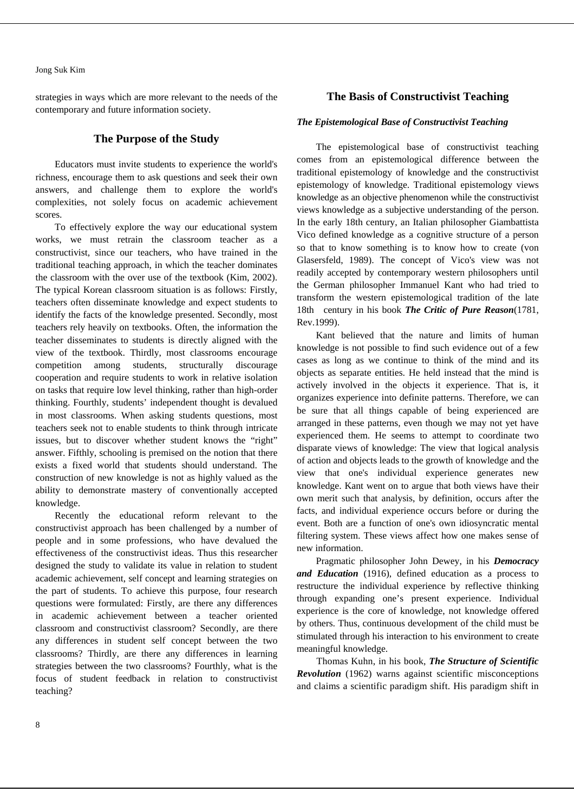strategies in ways which are more relevant to the needs of the contemporary and future information society.

# **The Purpose of the Study**

Educators must invite students to experience the world's richness, encourage them to ask questions and seek their own answers, and challenge them to explore the world's complexities, not solely focus on academic achievement scores.

To effectively explore the way our educational system works, we must retrain the classroom teacher as a constructivist, since our teachers, who have trained in the traditional teaching approach, in which the teacher dominates the classroom with the over use of the textbook (Kim, 2002). The typical Korean classroom situation is as follows: Firstly, teachers often disseminate knowledge and expect students to identify the facts of the knowledge presented. Secondly, most teachers rely heavily on textbooks. Often, the information the teacher disseminates to students is directly aligned with the view of the textbook. Thirdly, most classrooms encourage competition among students, structurally discourage cooperation and require students to work in relative isolation on tasks that require low level thinking, rather than high-order thinking. Fourthly, students' independent thought is devalued in most classrooms. When asking students questions, most teachers seek not to enable students to think through intricate issues, but to discover whether student knows the "right" answer. Fifthly, schooling is premised on the notion that there exists a fixed world that students should understand. The construction of new knowledge is not as highly valued as the ability to demonstrate mastery of conventionally accepted knowledge.

Recently the educational reform relevant to the constructivist approach has been challenged by a number of people and in some professions, who have devalued the effectiveness of the constructivist ideas. Thus this researcher designed the study to validate its value in relation to student academic achievement, self concept and learning strategies on the part of students. To achieve this purpose, four research questions were formulated: Firstly, are there any differences in academic achievement between a teacher oriented classroom and constructivist classroom? Secondly, are there any differences in student self concept between the two classrooms? Thirdly, are there any differences in learning strategies between the two classrooms? Fourthly, what is the focus of student feedback in relation to constructivist teaching?

# **The Basis of Constructivist Teaching**

# *The Epistemological Base of Constructivist Teaching*

The epistemological base of constructivist teaching comes from an epistemological difference between the traditional epistemology of knowledge and the constructivist epistemology of knowledge. Traditional epistemology views knowledge as an objective phenomenon while the constructivist views knowledge as a subjective understanding of the person. In the early 18th century, an Italian philosopher Giambattista Vico defined knowledge as a cognitive structure of a person so that to know something is to know how to create (von Glasersfeld, 1989). The concept of Vico's view was not readily accepted by contemporary western philosophers until the German philosopher Immanuel Kant who had tried to transform the western epistemological tradition of the late 18th century in his book *The Critic of Pure Reason*(1781, Rev.1999).

Kant believed that the nature and limits of human knowledge is not possible to find such evidence out of a few cases as long as we continue to think of the mind and its objects as separate entities. He held instead that the mind is actively involved in the objects it experience. That is, it organizes experience into definite patterns. Therefore, we can be sure that all things capable of being experienced are arranged in these patterns, even though we may not yet have experienced them. He seems to attempt to coordinate two disparate views of knowledge: The view that logical analysis of action and objects leads to the growth of knowledge and the view that one's individual experience generates new knowledge. Kant went on to argue that both views have their own merit such that analysis, by definition, occurs after the facts, and individual experience occurs before or during the event. Both are a function of one's own idiosyncratic mental filtering system. These views affect how one makes sense of new information.

Pragmatic philosopher John Dewey, in his *Democracy and Education* (1916), defined education as a process to restructure the individual experience by reflective thinking through expanding one's present experience. Individual experience is the core of knowledge, not knowledge offered by others. Thus, continuous development of the child must be stimulated through his interaction to his environment to create meaningful knowledge.

Thomas Kuhn, in his book, *The Structure of Scientific Revolution* (1962) warns against scientific misconceptions and claims a scientific paradigm shift. His paradigm shift in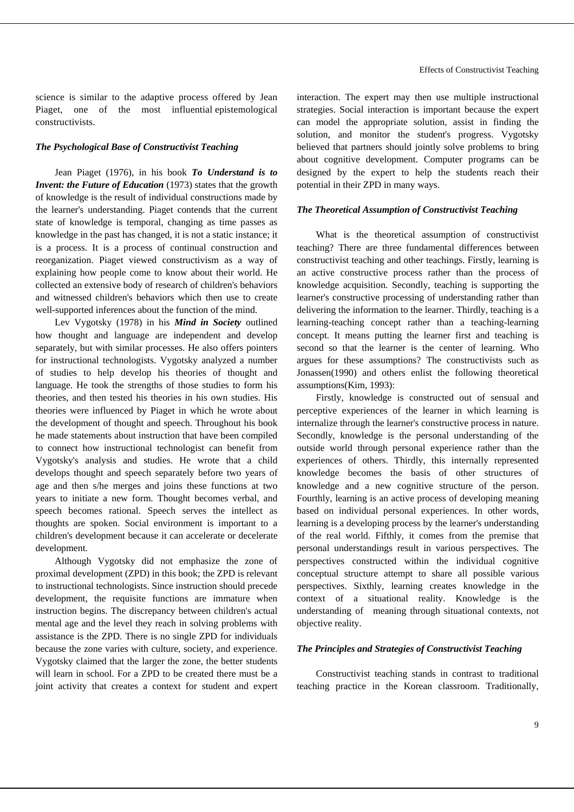science is similar to the adaptive process offered by Jean Piaget, one of the most influential epistemological constructivists.

## *The Psychological Base of Constructivist Teaching*

Jean Piaget (1976), in his book *To Understand is to Invent: the Future of Education* (1973) states that the growth of knowledge is the result of individual constructions made by the learner's understanding. Piaget contends that the current state of knowledge is temporal, changing as time passes as knowledge in the past has changed, it is not a static instance; it is a process. It is a process of continual construction and reorganization. Piaget viewed constructivism as a way of explaining how people come to know about their world. He collected an extensive body of research of children's behaviors and witnessed children's behaviors which then use to create well-supported inferences about the function of the mind.

Lev Vygotsky (1978) in his *Mind in Society* outlined how thought and language are independent and develop separately, but with similar processes. He also offers pointers for instructional technologists. Vygotsky analyzed a number of studies to help develop his theories of thought and language. He took the strengths of those studies to form his theories, and then tested his theories in his own studies. His theories were influenced by Piaget in which he wrote about the development of thought and speech. Throughout his book he made statements about instruction that have been compiled to connect how instructional technologist can benefit from Vygotsky's analysis and studies. He wrote that a child develops thought and speech separately before two years of age and then s/he merges and joins these functions at two years to initiate a new form. Thought becomes verbal, and speech becomes rational. Speech serves the intellect as thoughts are spoken. Social environment is important to a children's development because it can accelerate or decelerate development.

Although Vygotsky did not emphasize the zone of proximal development (ZPD) in this book; the ZPD is relevant to instructional technologists. Since instruction should precede development, the requisite functions are immature when instruction begins. The discrepancy between children's actual mental age and the level they reach in solving problems with assistance is the ZPD. There is no single ZPD for individuals because the zone varies with culture, society, and experience. Vygotsky claimed that the larger the zone, the better students will learn in school. For a ZPD to be created there must be a joint activity that creates a context for student and expert

interaction. The expert may then use multiple instructional strategies. Social interaction is important because the expert can model the appropriate solution, assist in finding the solution, and monitor the student's progress. Vygotsky believed that partners should jointly solve problems to bring about cognitive development. Computer programs can be designed by the expert to help the students reach their potential in their ZPD in many ways.

## *The Theoretical Assumption of Constructivist Teaching*

What is the theoretical assumption of constructivist teaching? There are three fundamental differences between constructivist teaching and other teachings. Firstly, learning is an active constructive process rather than the process of knowledge acquisition. Secondly, teaching is supporting the learner's constructive processing of understanding rather than delivering the information to the learner. Thirdly, teaching is a learning-teaching concept rather than a teaching-learning concept. It means putting the learner first and teaching is second so that the learner is the center of learning. Who argues for these assumptions? The constructivists such as Jonassen(1990) and others enlist the following theoretical assumptions(Kim, 1993):

Firstly, knowledge is constructed out of sensual and perceptive experiences of the learner in which learning is internalize through the learner's constructive process in nature. Secondly, knowledge is the personal understanding of the outside world through personal experience rather than the experiences of others. Thirdly, this internally represented knowledge becomes the basis of other structures of knowledge and a new cognitive structure of the person. Fourthly, learning is an active process of developing meaning based on individual personal experiences. In other words, learning is a developing process by the learner's understanding of the real world. Fifthly, it comes from the premise that personal understandings result in various perspectives. The perspectives constructed within the individual cognitive conceptual structure attempt to share all possible various perspectives. Sixthly, learning creates knowledge in the context of a situational reality. Knowledge is the understanding of meaning through situational contexts, not objective reality.

# *The Principles and Strategies of Constructivist Teaching*

Constructivist teaching stands in contrast to traditional teaching practice in the Korean classroom. Traditionally,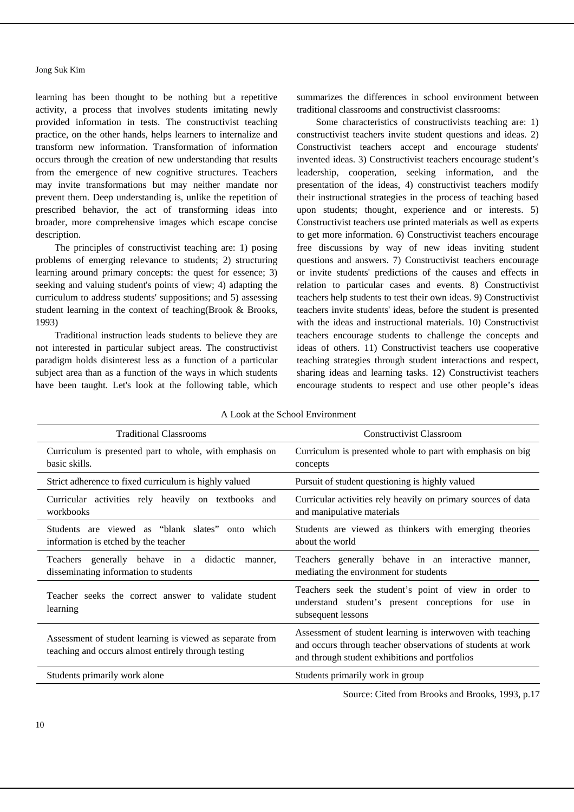learning has been thought to be nothing but a repetitive activity, a process that involves students imitating newly provided information in tests. The constructivist teaching practice, on the other hands, helps learners to internalize and transform new information. Transformation of information occurs through the creation of new understanding that results from the emergence of new cognitive structures. Teachers may invite transformations but may neither mandate nor prevent them. Deep understanding is, unlike the repetition of prescribed behavior, the act of transforming ideas into broader, more comprehensive images which escape concise description.

The principles of constructivist teaching are: 1) posing problems of emerging relevance to students; 2) structuring learning around primary concepts: the quest for essence; 3) seeking and valuing student's points of view; 4) adapting the curriculum to address students' suppositions; and 5) assessing student learning in the context of teaching(Brook & Brooks, 1993)

Traditional instruction leads students to believe they are not interested in particular subject areas. The constructivist paradigm holds disinterest less as a function of a particular subject area than as a function of the ways in which students have been taught. Let's look at the following table, which

summarizes the differences in school environment between traditional classrooms and constructivist classrooms:

Some characteristics of constructivists teaching are: 1) constructivist teachers invite student questions and ideas. 2) Constructivist teachers accept and encourage students' invented ideas. 3) Constructivist teachers encourage student's leadership, cooperation, seeking information, and the presentation of the ideas, 4) constructivist teachers modify their instructional strategies in the process of teaching based upon students; thought, experience and or interests. 5) Constructivist teachers use printed materials as well as experts to get more information. 6) Constructivist teachers encourage free discussions by way of new ideas inviting student questions and answers. 7) Constructivist teachers encourage or invite students' predictions of the causes and effects in relation to particular cases and events. 8) Constructivist teachers help students to test their own ideas. 9) Constructivist teachers invite students' ideas, before the student is presented with the ideas and instructional materials. 10) Constructivist teachers encourage students to challenge the concepts and ideas of others. 11) Constructivist teachers use cooperative teaching strategies through student interactions and respect, sharing ideas and learning tasks. 12) Constructivist teachers encourage students to respect and use other people's ideas

| <b>Traditional Classrooms</b>                                                                                    | <b>Constructivist Classroom</b>                                                                                                                                             |
|------------------------------------------------------------------------------------------------------------------|-----------------------------------------------------------------------------------------------------------------------------------------------------------------------------|
| Curriculum is presented part to whole, with emphasis on<br>basic skills.                                         | Curriculum is presented whole to part with emphasis on big<br>concepts                                                                                                      |
| Strict adherence to fixed curriculum is highly valued                                                            | Pursuit of student questioning is highly valued                                                                                                                             |
| Curricular activities rely heavily on textbooks and<br>workbooks                                                 | Curricular activities rely heavily on primary sources of data<br>and manipulative materials                                                                                 |
| Students are viewed as "blank slates"<br>onto which<br>information is etched by the teacher                      | Students are viewed as thinkers with emerging theories<br>about the world                                                                                                   |
| generally behave in a didactic<br>Teachers<br>manner,<br>disseminating information to students                   | Teachers generally behave in an interactive manner,<br>mediating the environment for students                                                                               |
| Teacher seeks the correct answer to validate student<br>learning                                                 | Teachers seek the student's point of view in order to<br>understand student's present conceptions for use in<br>subsequent lessons                                          |
| Assessment of student learning is viewed as separate from<br>teaching and occurs almost entirely through testing | Assessment of student learning is interwoven with teaching<br>and occurs through teacher observations of students at work<br>and through student exhibitions and portfolios |
| Students primarily work alone                                                                                    | Students primarily work in group                                                                                                                                            |

A Look at the School Environment

Source: Cited from Brooks and Brooks, 1993, p.17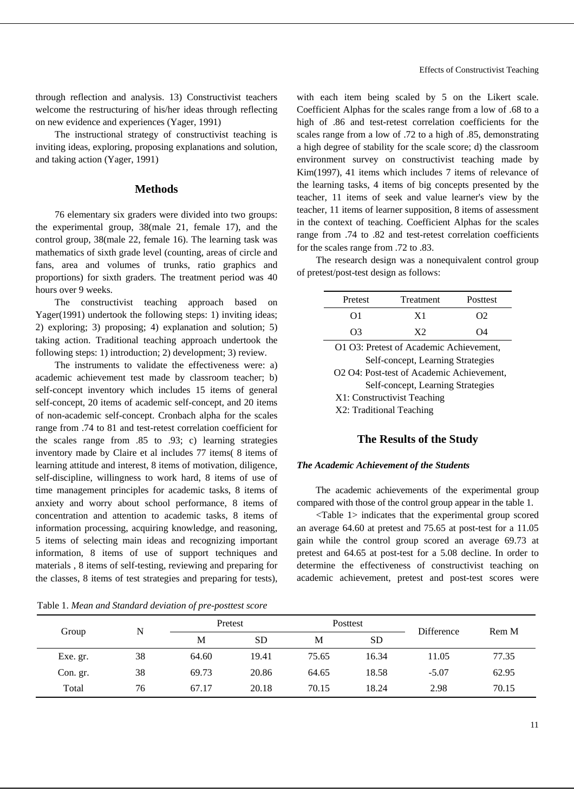through reflection and analysis. 13) Constructivist teachers welcome the restructuring of his/her ideas through reflecting on new evidence and experiences (Yager, 1991)

The instructional strategy of constructivist teaching is inviting ideas, exploring, proposing explanations and solution, and taking action (Yager, 1991)

# **Methods**

76 elementary six graders were divided into two groups: the experimental group, 38(male 21, female 17), and the control group, 38(male 22, female 16). The learning task was mathematics of sixth grade level (counting, areas of circle and fans, area and volumes of trunks, ratio graphics and proportions) for sixth graders. The treatment period was 40 hours over 9 weeks.

The constructivist teaching approach based on Yager(1991) undertook the following steps: 1) inviting ideas; 2) exploring; 3) proposing; 4) explanation and solution; 5) taking action. Traditional teaching approach undertook the following steps: 1) introduction; 2) development; 3) review.

The instruments to validate the effectiveness were: a) academic achievement test made by classroom teacher; b) self-concept inventory which includes 15 items of general self-concept, 20 items of academic self-concept, and 20 items of non-academic self-concept. Cronbach alpha for the scales range from .74 to 81 and test-retest correlation coefficient for the scales range from .85 to .93; c) learning strategies inventory made by Claire et al includes 77 items( 8 items of learning attitude and interest, 8 items of motivation, diligence, self-discipline, willingness to work hard, 8 items of use of time management principles for academic tasks, 8 items of anxiety and worry about school performance, 8 items of concentration and attention to academic tasks, 8 items of information processing, acquiring knowledge, and reasoning, 5 items of selecting main ideas and recognizing important information, 8 items of use of support techniques and materials , 8 items of self-testing, reviewing and preparing for the classes, 8 items of test strategies and preparing for tests),

Table 1. *Mean and Standard deviation of pre-posttest score*

with each item being scaled by 5 on the Likert scale. Coefficient Alphas for the scales range from a low of .68 to a high of .86 and test-retest correlation coefficients for the scales range from a low of .72 to a high of .85, demonstrating a high degree of stability for the scale score; d) the classroom environment survey on constructivist teaching made by Kim(1997), 41 items which includes 7 items of relevance of the learning tasks, 4 items of big concepts presented by the teacher, 11 items of seek and value learner's view by the teacher, 11 items of learner supposition, 8 items of assessment in the context of teaching. Coefficient Alphas for the scales range from .74 to .82 and test-retest correlation coefficients for the scales range from .72 to .83.

The research design was a nonequivalent control group of pretest/post-test design as follows:

| Pretest  | Treatment | Posttest |
|----------|-----------|----------|
| OI       | X 1       | റാ       |
| $\Omega$ |           | ω        |

| O1 O3: Pretest of Academic Achievement,   |
|-------------------------------------------|
| Self-concept, Learning Strategies         |
| O2 O4: Post-test of Academic Achievement, |
| Self-concept, Learning Strategies         |
| X1: Constructivist Teaching               |
| X2: Traditional Teaching                  |

# **The Results of the Study**

#### *The Academic Achievement of the Students*

The academic achievements of the experimental group compared with those of the control group appear in the table 1.

<Table 1> indicates that the experimental group scored an average 64.60 at pretest and 75.65 at post-test for a 11.05 gain while the control group scored an average 69.73 at pretest and 64.65 at post-test for a 5.08 decline. In order to determine the effectiveness of constructivist teaching on academic achievement, pretest and post-test scores were

|          | N  |       | Pretest   |       | Posttest  |                   |       |  |
|----------|----|-------|-----------|-------|-----------|-------------------|-------|--|
| Group    |    | M     | <b>SD</b> | M     | <b>SD</b> | <b>Difference</b> | Rem M |  |
| Exe. gr. | 38 | 64.60 | 19.41     | 75.65 | 16.34     | 11.05             | 77.35 |  |
| Con. gr. | 38 | 69.73 | 20.86     | 64.65 | 18.58     | $-5.07$           | 62.95 |  |
| Total    | 76 | 67.17 | 20.18     | 70.15 | 18.24     | 2.98              | 70.15 |  |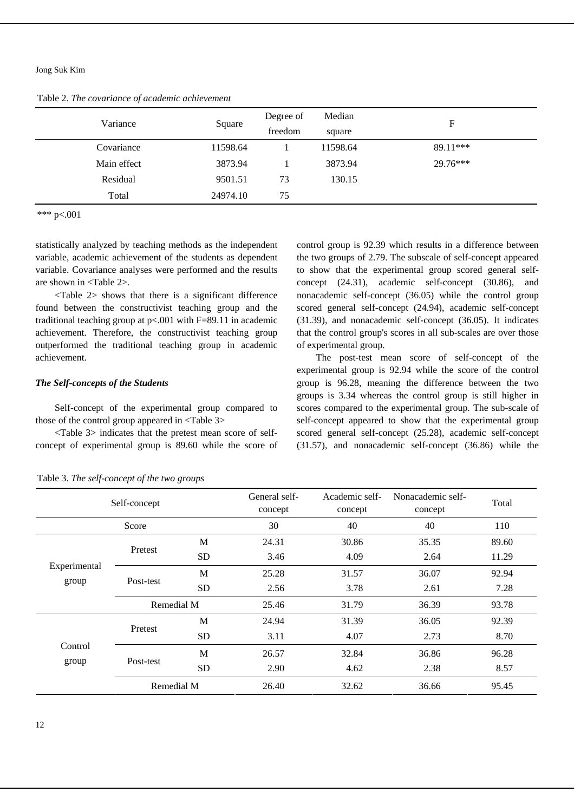Table 2. *The covariance of academic achievement*

| Variance    | Square   | Degree of<br>freedom | Median<br>square | F        |
|-------------|----------|----------------------|------------------|----------|
| Covariance  | 11598.64 |                      | 11598.64         | 89.11*** |
| Main effect | 3873.94  |                      | 3873.94          | 29.76*** |
| Residual    | 9501.51  | 73                   | 130.15           |          |
| Total       | 24974.10 | 75                   |                  |          |

\*\*\* p<.001

statistically analyzed by teaching methods as the independent variable, academic achievement of the students as dependent variable. Covariance analyses were performed and the results are shown in <Table 2>.

<Table 2> shows that there is a significant difference found between the constructivist teaching group and the traditional teaching group at p<.001 with F=89.11 in academic achievement. Therefore, the constructivist teaching group outperformed the traditional teaching group in academic achievement.

# *The Self-concepts of the Students*

Self-concept of the experimental group compared to those of the control group appeared in <Table 3>

<Table 3> indicates that the pretest mean score of selfconcept of experimental group is 89.60 while the score of control group is 92.39 which results in a difference between the two groups of 2.79. The subscale of self-concept appeared to show that the experimental group scored general selfconcept (24.31), academic self-concept (30.86), and nonacademic self-concept (36.05) while the control group scored general self-concept (24.94), academic self-concept (31.39), and nonacademic self-concept (36.05). It indicates that the control group's scores in all sub-scales are over those of experimental group.

The post-test mean score of self-concept of the experimental group is 92.94 while the score of the control group is 96.28, meaning the difference between the two groups is 3.34 whereas the control group is still higher in scores compared to the experimental group. The sub-scale of self-concept appeared to show that the experimental group scored general self-concept (25.28), academic self-concept (31.57), and nonacademic self-concept (36.86) while the

|              | Self-concept       |           | General self-<br>concept | Academic self-<br>concept | Nonacademic self-<br>concept | Total |
|--------------|--------------------|-----------|--------------------------|---------------------------|------------------------------|-------|
|              | Score              |           | 30                       | 40                        | 40                           | 110   |
|              | Pretest            | M         | 24.31                    | 30.86                     | 35.35                        | 89.60 |
|              |                    | <b>SD</b> | 3.46                     | 4.09                      | 2.64                         | 11.29 |
| Experimental |                    | M         | 25.28                    | 31.57                     | 36.07                        | 92.94 |
|              | Post-test<br>group | <b>SD</b> | 2.56                     | 3.78                      | 2.61                         | 7.28  |
|              | Remedial M         |           | 25.46                    | 31.79                     | 36.39                        | 93.78 |
|              | Pretest            | M         | 24.94                    | 31.39                     | 36.05                        | 92.39 |
|              |                    | <b>SD</b> | 3.11                     | 4.07                      | 2.73                         | 8.70  |
| Control      |                    | M         | 26.57                    | 32.84                     | 36.86                        | 96.28 |
|              | Post-test<br>group |           | 2.90                     | 4.62                      | 2.38                         | 8.57  |
|              | Remedial M         |           | 26.40                    | 32.62                     | 36.66                        | 95.45 |

Table 3. *The self-concept of the two groups*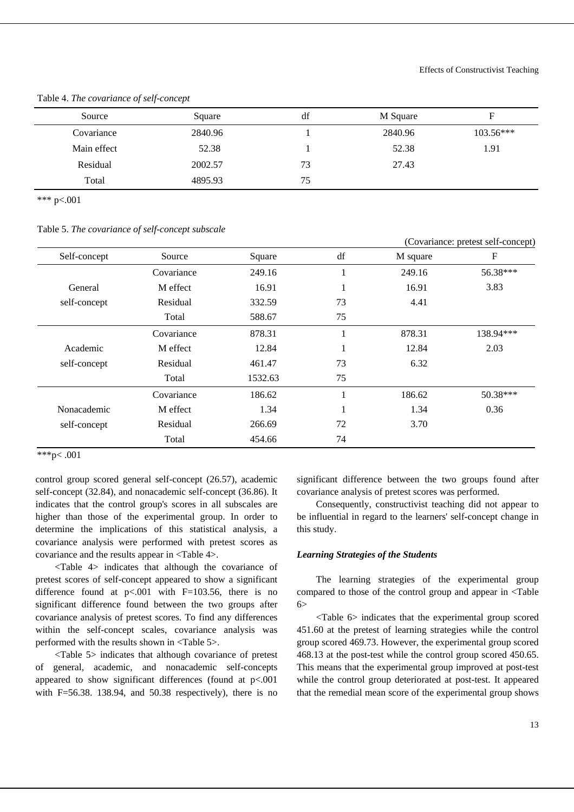| Source      | Square  | df | M Square | F           |
|-------------|---------|----|----------|-------------|
| Covariance  | 2840.96 |    | 2840.96  | $103.56***$ |
| Main effect | 52.38   |    | 52.38    | 1.91        |
| Residual    | 2002.57 | 73 | 27.43    |             |
| Total       | 4895.93 | 75 |          |             |

Table 4. *The covariance of self-concept*

\*\*\* p<.001

Table 5. *The covariance of self-concept subscale*

|              |            |         |          |          | (Covariance: pretest self-concept) |
|--------------|------------|---------|----------|----------|------------------------------------|
| Self-concept | Source     | Square  | df       | M square | $\boldsymbol{\mathrm{F}}$          |
|              | Covariance | 249.16  |          | 249.16   | 56.38***                           |
| General      | M effect   | 16.91   | $\bf{1}$ | 16.91    | 3.83                               |
| self-concept | Residual   | 332.59  | 73       | 4.41     |                                    |
|              | Total      | 588.67  | 75       |          |                                    |
|              | Covariance | 878.31  |          | 878.31   | 138.94***                          |
| Academic     | M effect   | 12.84   | $\bf{l}$ | 12.84    | 2.03                               |
| self-concept | Residual   | 461.47  | 73       | 6.32     |                                    |
|              | Total      | 1532.63 | 75       |          |                                    |
|              | Covariance | 186.62  |          | 186.62   | 50.38***                           |
| Nonacademic  | M effect   | 1.34    |          | 1.34     | 0.36                               |
| self-concept | Residual   | 266.69  | 72       | 3.70     |                                    |
|              | Total      | 454.66  | 74       |          |                                    |

\*\*\*p< .001

control group scored general self-concept (26.57), academic self-concept (32.84), and nonacademic self-concept (36.86). It indicates that the control group's scores in all subscales are higher than those of the experimental group. In order to determine the implications of this statistical analysis, a covariance analysis were performed with pretest scores as covariance and the results appear in <Table 4>.

<Table 4> indicates that although the covariance of pretest scores of self-concept appeared to show a significant difference found at  $p<0.001$  with  $F=103.56$ , there is no significant difference found between the two groups after covariance analysis of pretest scores. To find any differences within the self-concept scales, covariance analysis was performed with the results shown in <Table 5>.

<Table 5> indicates that although covariance of pretest of general, academic, and nonacademic self-concepts appeared to show significant differences (found at p<.001 with  $F=56.38$ . 138.94, and 50.38 respectively), there is no

significant difference between the two groups found after covariance analysis of pretest scores was performed.

Consequently, constructivist teaching did not appear to be influential in regard to the learners' self-concept change in this study.

# *Learning Strategies of the Students*

The learning strategies of the experimental group compared to those of the control group and appear in <Table  $6\geq$ 

<Table 6> indicates that the experimental group scored 451.60 at the pretest of learning strategies while the control group scored 469.73. However, the experimental group scored 468.13 at the post-test while the control group scored 450.65. This means that the experimental group improved at post-test while the control group deteriorated at post-test. It appeared that the remedial mean score of the experimental group shows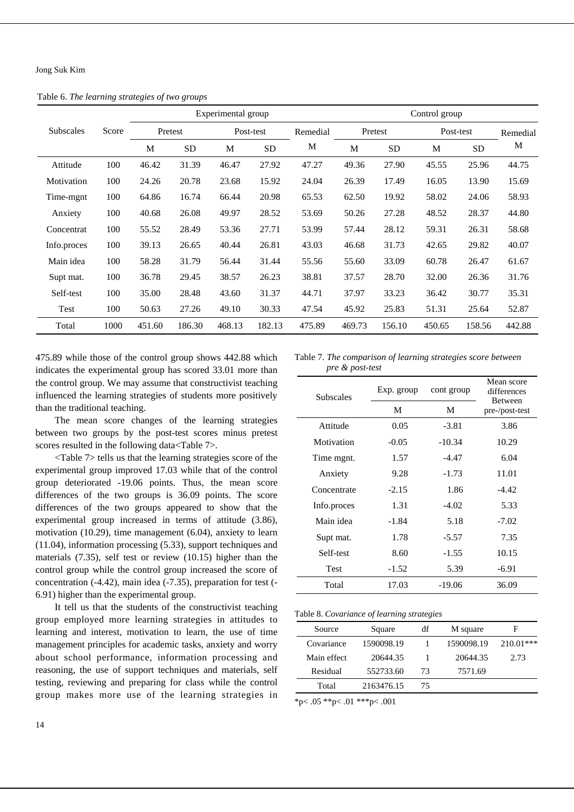Table 6. *The learning strategies of two groups*

|                  |       | Experimental group |           |        |           |          | Control group |           |           |           |          |
|------------------|-------|--------------------|-----------|--------|-----------|----------|---------------|-----------|-----------|-----------|----------|
| <b>Subscales</b> | Score |                    | Pretest   |        | Post-test | Remedial |               | Pretest   | Post-test |           | Remedial |
|                  |       | M                  | <b>SD</b> | M      | <b>SD</b> | M        | M             | <b>SD</b> | M         | <b>SD</b> | M        |
| Attitude         | 100   | 46.42              | 31.39     | 46.47  | 27.92     | 47.27    | 49.36         | 27.90     | 45.55     | 25.96     | 44.75    |
| Motivation       | 100   | 24.26              | 20.78     | 23.68  | 15.92     | 24.04    | 26.39         | 17.49     | 16.05     | 13.90     | 15.69    |
| Time-mgnt        | 100   | 64.86              | 16.74     | 66.44  | 20.98     | 65.53    | 62.50         | 19.92     | 58.02     | 24.06     | 58.93    |
| Anxiety          | 100   | 40.68              | 26.08     | 49.97  | 28.52     | 53.69    | 50.26         | 27.28     | 48.52     | 28.37     | 44.80    |
| Concentrat       | 100   | 55.52              | 28.49     | 53.36  | 27.71     | 53.99    | 57.44         | 28.12     | 59.31     | 26.31     | 58.68    |
| Info.proces      | 100   | 39.13              | 26.65     | 40.44  | 26.81     | 43.03    | 46.68         | 31.73     | 42.65     | 29.82     | 40.07    |
| Main idea        | 100   | 58.28              | 31.79     | 56.44  | 31.44     | 55.56    | 55.60         | 33.09     | 60.78     | 26.47     | 61.67    |
| Supt mat.        | 100   | 36.78              | 29.45     | 38.57  | 26.23     | 38.81    | 37.57         | 28.70     | 32.00     | 26.36     | 31.76    |
| Self-test        | 100   | 35.00              | 28.48     | 43.60  | 31.37     | 44.71    | 37.97         | 33.23     | 36.42     | 30.77     | 35.31    |
| Test             | 100   | 50.63              | 27.26     | 49.10  | 30.33     | 47.54    | 45.92         | 25.83     | 51.31     | 25.64     | 52.87    |
| Total            | 1000  | 451.60             | 186.30    | 468.13 | 182.13    | 475.89   | 469.73        | 156.10    | 450.65    | 158.56    | 442.88   |

475.89 while those of the control group shows 442.88 which indicates the experimental group has scored 33.01 more than the control group. We may assume that constructivist teaching influenced the learning strategies of students more positively than the traditional teaching.

The mean score changes of the learning strategies between two groups by the post-test scores minus pretest scores resulted in the following data<Table 7>.

<Table 7> tells us that the learning strategies score of the experimental group improved 17.03 while that of the control group deteriorated -19.06 points. Thus, the mean score differences of the two groups is 36.09 points. The score differences of the two groups appeared to show that the experimental group increased in terms of attitude (3.86), motivation (10.29), time management (6.04), anxiety to learn (11.04), information processing (5.33), support techniques and materials (7.35), self test or review (10.15) higher than the control group while the control group increased the score of concentration (-4.42), main idea (-7.35), preparation for test (- 6.91) higher than the experimental group.

It tell us that the students of the constructivist teaching group employed more learning strategies in attitudes to learning and interest, motivation to learn, the use of time management principles for academic tasks, anxiety and worry about school performance, information processing and reasoning, the use of support techniques and materials, self testing, reviewing and preparing for class while the control group makes more use of the learning strategies in

Table 7. *The comparison of learning strategies score between pre & post-test*

| <b>Subscales</b> | Exp. group | cont group | Mean score<br>differences<br>Between |
|------------------|------------|------------|--------------------------------------|
|                  | M          | M          | pre-/post-test                       |
| Attitude         | 0.05       | $-3.81$    | 3.86                                 |
| Motivation       | $-0.05$    | $-10.34$   | 10.29                                |
| Time mgnt.       | 1.57       | $-4.47$    | 6.04                                 |
| Anxiety          | 9.28       | $-1.73$    | 11.01                                |
| Concentrate      | $-2.15$    | 1.86       | -4.42                                |
| Info.proces      | 1.31       | $-4.02$    | 5.33                                 |
| Main idea        | -1.84      | 5.18       | $-7.02$                              |
| Supt mat.        | 1.78       | $-5.57$    | 7.35                                 |
| Self-test        | 8.60       | $-1.55$    | 10.15                                |
| <b>Test</b>      | $-1.52$    | 5.39       | -6.91                                |
| Total            | 17.03      | $-19.06$   | 36.09                                |

#### Table 8. *Covariance of learning strategies*

|             | ------ - - - - - --- ----- - - , ----- - - , --- - - , --- - - , --- - , --- - - |    |            |             |
|-------------|----------------------------------------------------------------------------------|----|------------|-------------|
| Source      | Square                                                                           | df | M square   | н           |
| Covariance  | 1590098.19                                                                       |    | 1590098.19 | $210.01***$ |
| Main effect | 20644.35                                                                         |    | 20644.35   | 2.73        |
| Residual    | 552733.60                                                                        | 73 | 7571.69    |             |
| Total       | 2163476.15                                                                       | 75 |            |             |
|             |                                                                                  |    |            |             |

\*p< .05 \*\*p< .01 \*\*\*p< .001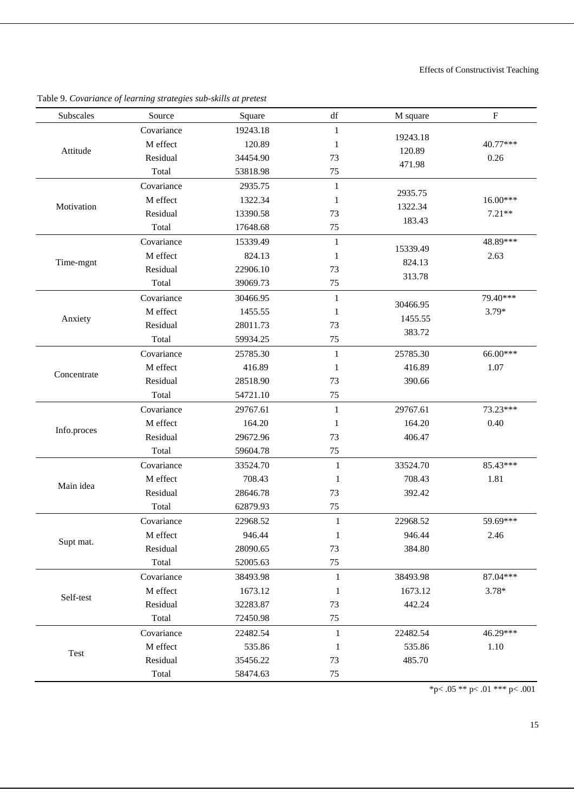| Subscales   | Source     | Square   | $\mathrm{d}\mathrm{f}$ | M square | $\rm F$    |
|-------------|------------|----------|------------------------|----------|------------|
|             | Covariance | 19243.18 | $\mathbf{1}$           | 19243.18 |            |
| Attitude    | M effect   | 120.89   | 1                      | 120.89   | 40.77***   |
|             | Residual   | 34454.90 | 73                     | 471.98   | 0.26       |
|             | Total      | 53818.98 | 75                     |          |            |
|             | Covariance | 2935.75  | 1                      | 2935.75  |            |
| Motivation  | M effect   | 1322.34  | 1                      |          | $16.00***$ |
|             | Residual   | 13390.58 | 73                     | 1322.34  | $7.21**$   |
|             | Total      | 17648.68 | 75                     | 183.43   |            |
|             | Covariance | 15339.49 | $\mathbf{1}$           |          | 48.89***   |
|             | M effect   | 824.13   | 1                      | 15339.49 | 2.63       |
| Time-mgnt   | Residual   | 22906.10 | 73                     | 824.13   |            |
|             | Total      | 39069.73 | 75                     | 313.78   |            |
|             | Covariance | 30466.95 | $\mathbf{1}$           |          | 79.40***   |
| Anxiety     | M effect   | 1455.55  | 1                      | 30466.95 | $3.79*$    |
|             | Residual   | 28011.73 | 73                     | 1455.55  |            |
|             | Total      | 59934.25 | 75                     | 383.72   |            |
| Concentrate | Covariance | 25785.30 | $\mathbf{1}$           | 25785.30 | 66.00***   |
|             | M effect   | 416.89   | 1                      | 416.89   | 1.07       |
|             | Residual   | 28518.90 | 73                     | 390.66   |            |
|             | Total      | 54721.10 | 75                     |          |            |
|             | Covariance | 29767.61 | $\mathbf{1}$           | 29767.61 | 73.23***   |
|             | M effect   | 164.20   | 1                      | 164.20   | 0.40       |
| Info.proces | Residual   | 29672.96 | 73                     | 406.47   |            |
|             | Total      | 59604.78 | 75                     |          |            |
|             | Covariance | 33524.70 | $\mathbf{1}$           | 33524.70 | 85.43***   |
|             | M effect   | 708.43   | 1                      | 708.43   | 1.81       |
| Main idea   | Residual   | 28646.78 | 73                     | 392.42   |            |
|             | Total      | 62879.93 | 75                     |          |            |
|             | Covariance | 22968.52 | $\mathbf{1}$           | 22968.52 | 59.69***   |
|             | M effect   | 946.44   | $\mathbf{1}$           | 946.44   | 2.46       |
| Supt mat.   | Residual   | 28090.65 | 73                     | 384.80   |            |
|             | Total      | 52005.63 | 75                     |          |            |
|             | Covariance | 38493.98 | 1                      | 38493.98 | 87.04***   |
|             | M effect   | 1673.12  | $\mathbf{1}$           | 1673.12  | $3.78*$    |
| Self-test   | Residual   | 32283.87 | 73                     | 442.24   |            |
|             | Total      | 72450.98 | $75\,$                 |          |            |
|             | Covariance | 22482.54 | $\mathbf{1}$           | 22482.54 | 46.29***   |
|             | M effect   | 535.86   | 1                      | 535.86   | 1.10       |
| Test        | Residual   | 35456.22 | 73                     | 485.70   |            |
|             | Total      | 58474.63 | 75                     |          |            |

Table 9. *Covariance of learning strategies sub-skills at pretest*

\*p< .05 \*\* p< .01 \*\*\* p< .001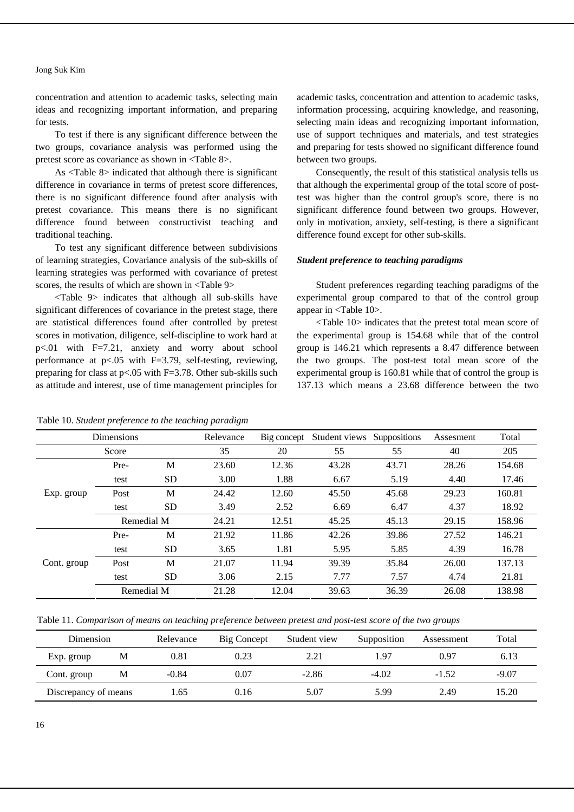concentration and attention to academic tasks, selecting main ideas and recognizing important information, and preparing for tests.

To test if there is any significant difference between the two groups, covariance analysis was performed using the pretest score as covariance as shown in <Table 8>.

As <Table 8> indicated that although there is significant difference in covariance in terms of pretest score differences, there is no significant difference found after analysis with pretest covariance. This means there is no significant difference found between constructivist teaching and traditional teaching.

To test any significant difference between subdivisions of learning strategies, Covariance analysis of the sub-skills of learning strategies was performed with covariance of pretest scores, the results of which are shown in <Table 9>

<Table 9> indicates that although all sub-skills have significant differences of covariance in the pretest stage, there are statistical differences found after controlled by pretest scores in motivation, diligence, self-discipline to work hard at p<.01 with F=7.21, anxiety and worry about school performance at  $p<0.05$  with F=3.79, self-testing, reviewing, preparing for class at p<.05 with F=3.78. Other sub-skills such as attitude and interest, use of time management principles for

#### Table 10. *Student preference to the teaching paradigm*

academic tasks, concentration and attention to academic tasks, information processing, acquiring knowledge, and reasoning, selecting main ideas and recognizing important information, use of support techniques and materials, and test strategies and preparing for tests showed no significant difference found between two groups.

Consequently, the result of this statistical analysis tells us that although the experimental group of the total score of posttest was higher than the control group's score, there is no significant difference found between two groups. However, only in motivation, anxiety, self-testing, is there a significant difference found except for other sub-skills.

# *Student preference to teaching paradigms*

Student preferences regarding teaching paradigms of the experimental group compared to that of the control group appear in <Table 10>.

<Table 10> indicates that the pretest total mean score of the experimental group is 154.68 while that of the control group is 146.21 which represents a 8.47 difference between the two groups. The post-test total mean score of the experimental group is 160.81 while that of control the group is 137.13 which means a 23.68 difference between the two

| <b>Dimensions</b> |            |           | Relevance | Big concept | Student views | Suppositions | Assesment | Total  |
|-------------------|------------|-----------|-----------|-------------|---------------|--------------|-----------|--------|
| Score             |            | 35        | 20        | 55          | 55            | 40           | 205       |        |
| Exp. group        | Pre-       | M         | 23.60     | 12.36       | 43.28         | 43.71        | 28.26     | 154.68 |
|                   | test       | <b>SD</b> | 3.00      | 1.88        | 6.67          | 5.19         | 4.40      | 17.46  |
|                   | Post       | M         | 24.42     | 12.60       | 45.50         | 45.68        | 29.23     | 160.81 |
|                   | test       | <b>SD</b> | 3.49      | 2.52        | 6.69          | 6.47         | 4.37      | 18.92  |
|                   | Remedial M |           | 24.21     | 12.51       | 45.25         | 45.13        | 29.15     | 158.96 |
| Cont. group       | Pre-       | M         | 21.92     | 11.86       | 42.26         | 39.86        | 27.52     | 146.21 |
|                   | test       | <b>SD</b> | 3.65      | 1.81        | 5.95          | 5.85         | 4.39      | 16.78  |
|                   | Post       | M         | 21.07     | 11.94       | 39.39         | 35.84        | 26.00     | 137.13 |
|                   | test       | <b>SD</b> | 3.06      | 2.15        | 7.77          | 7.57         | 4.74      | 21.81  |
|                   | Remedial M |           | 21.28     | 12.04       | 39.63         | 36.39        | 26.08     | 138.98 |

Table 11. *Comparison of means on teaching preference between pretest and post-test score of the two groups* 

| Dimension            |   | Relevance | Big Concept | Student view | Supposition | Assessment | Total   |
|----------------------|---|-----------|-------------|--------------|-------------|------------|---------|
| Exp. group           | М | 0.81      | 0.23        | 2.21         | 1.97        | 0.97       | 6.13    |
| Cont. group          | М | $-0.84$   | 0.07        | $-2.86$      | $-4.02$     | $-1.52$    | $-9.07$ |
| Discrepancy of means |   | .65       | 0.16        | 5.07         | 5.99        | 2.49       | 15.20   |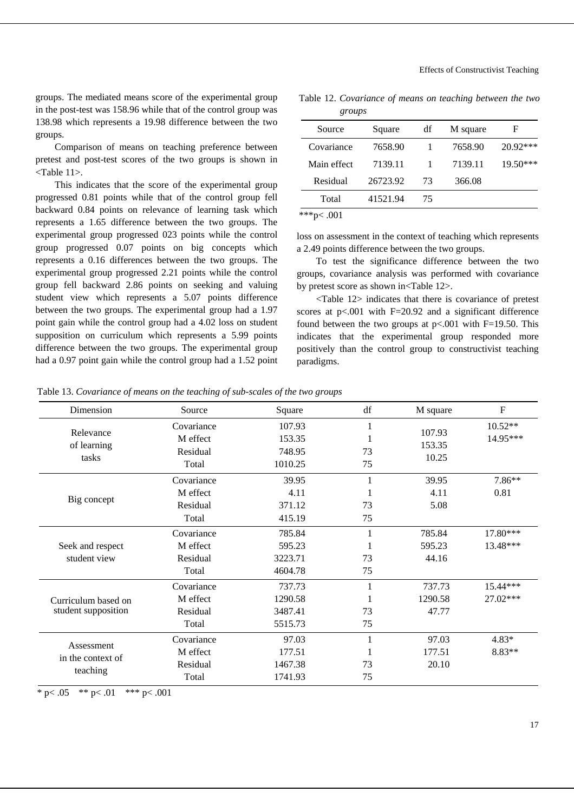groups. The mediated means score of the experimental group in the post-test was 158.96 while that of the control group was 138.98 which represents a 19.98 difference between the two groups.

Comparison of means on teaching preference between pretest and post-test scores of the two groups is shown in <Table 11>.

This indicates that the score of the experimental group progressed 0.81 points while that of the control group fell backward 0.84 points on relevance of learning task which represents a 1.65 difference between the two groups. The experimental group progressed 023 points while the control group progressed 0.07 points on big concepts which represents a 0.16 differences between the two groups. The experimental group progressed 2.21 points while the control group fell backward 2.86 points on seeking and valuing student view which represents a 5.07 points difference between the two groups. The experimental group had a 1.97 point gain while the control group had a 4.02 loss on student supposition on curriculum which represents a 5.99 points difference between the two groups. The experimental group had a 0.97 point gain while the control group had a 1.52 point

Table 12. *Covariance of means on teaching between the two groups*

| Source      | Square   | df | M square | F        |  |
|-------------|----------|----|----------|----------|--|
| Covariance  | 7658.90  |    | 7658.90  | 20.92*** |  |
| Main effect | 7139.11  |    | 7139.11  | 19.50*** |  |
| Residual    | 26723.92 | 73 | 366.08   |          |  |
| Total       | 41521.94 | 75 |          |          |  |
| ***p<       |          |    |          |          |  |

loss on assessment in the context of teaching which represents a 2.49 points difference between the two groups.

To test the significance difference between the two groups, covariance analysis was performed with covariance by pretest score as shown in<Table 12>.

<Table 12> indicates that there is covariance of pretest scores at  $p<.001$  with  $F=20.92$  and a significant difference found between the two groups at  $p<.001$  with F=19.50. This indicates that the experimental group responded more positively than the control group to constructivist teaching paradigms.

Table 13. *Covariance of means on the teaching of sub-scales of the two groups* 

| Dimension           | Source     | Square  | df | M square                  | $\mathbf F$ |
|---------------------|------------|---------|----|---------------------------|-------------|
|                     | Covariance | 107.93  |    | 107.93<br>153.35<br>10.25 | $10.52**$   |
| Relevance           | M effect   | 153.35  |    |                           | 14.95***    |
| of learning         | Residual   | 748.95  | 73 |                           |             |
| tasks               | Total      | 1010.25 | 75 |                           |             |
|                     | Covariance | 39.95   |    | 39.95                     | 7.86**      |
|                     | M effect   | 4.11    |    | 4.11                      | 0.81        |
| Big concept         | Residual   | 371.12  | 73 | 5.08                      |             |
|                     | Total      | 415.19  | 75 |                           |             |
|                     | Covariance | 785.84  |    | 785.84                    | 17.80***    |
| Seek and respect    | M effect   | 595.23  |    | 595.23                    | 13.48***    |
| student view        | Residual   | 3223.71 | 73 | 44.16                     |             |
|                     | Total      | 4604.78 | 75 |                           |             |
|                     | Covariance | 737.73  |    | 737.73                    | 15.44***    |
| Curriculum based on | M effect   | 1290.58 |    | 1290.58                   | 27.02***    |
| student supposition | Residual   | 3487.41 | 73 | 47.77                     |             |
|                     | Total      | 5515.73 | 75 |                           |             |
| Assessment          | Covariance | 97.03   |    | 97.03                     | $4.83*$     |
| in the context of   | M effect   | 177.51  |    | 177.51                    | $8.83**$    |
|                     | Residual   | 1467.38 | 73 | 20.10                     |             |
| teaching            | Total      | 1741.93 | 75 |                           |             |

\* p $< .05$  \*\* p $< .01$  \*\*\* p $< .001$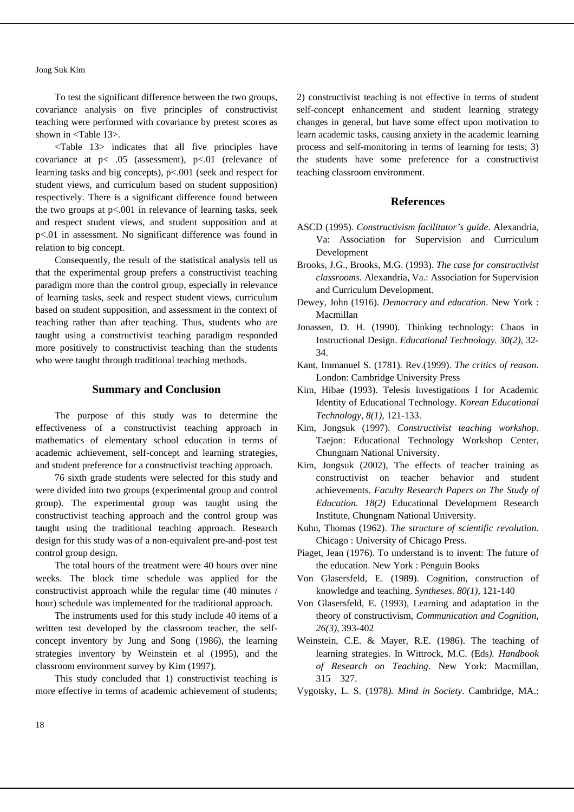To test the significant difference between the two groups, covariance analysis on five principles of constructivist teaching were performed with covariance by pretest scores as shown in <Table 13>.

<Table 13> indicates that all five principles have covariance at  $p < .05$  (assessment),  $p < .01$  (relevance of learning tasks and big concepts), p<.001 (seek and respect for student views, and curriculum based on student supposition) respectively. There is a significant difference found between the two groups at  $p<.001$  in relevance of learning tasks, seek and respect student views, and student supposition and at p<.01 in assessment. No significant difference was found in relation to big concept.

Consequently, the result of the statistical analysis tell us that the experimental group prefers a constructivist teaching paradigm more than the control group, especially in relevance of learning tasks, seek and respect student views, curriculum based on student supposition, and assessment in the context of teaching rather than after teaching. Thus, students who are taught using a constructivist teaching paradigm responded more positively to constructivist teaching than the students who were taught through traditional teaching methods.

# **Summary and Conclusion**

The purpose of this study was to determine the effectiveness of a constructivist teaching approach in mathematics of elementary school education in terms of academic achievement, self-concept and learning strategies, and student preference for a constructivist teaching approach.

76 sixth grade students were selected for this study and were divided into two groups (experimental group and control group). The experimental group was taught using the constructivist teaching approach and the control group was taught using the traditional teaching approach. Research design for this study was of a non-equivalent pre-and-post test control group design.

The total hours of the treatment were 40 hours over nine weeks. The block time schedule was applied for the constructivist approach while the regular time (40 minutes / hour) schedule was implemented for the traditional approach.

The instruments used for this study include 40 items of a written test developed by the classroom teacher, the selfconcept inventory by Jung and Song (1986), the learning strategies inventory by Weinstein et al (1995), and the classroom environment survey by Kim (1997).

This study concluded that 1) constructivist teaching is more effective in terms of academic achievement of students; 2) constructivist teaching is not effective in terms of student self-concept enhancement and student learning strategy changes in general, but have some effect upon motivation to learn academic tasks, causing anxiety in the academic learning process and self-monitoring in terms of learning for tests; 3) the students have some preference for a constructivist teaching classroom environment.

# **References**

- ASCD (1995). *Constructivism facilitator's guide*. Alexandria, Va: Association for Supervision and Curriculum Development
- Brooks, J.G., Brooks, M.G. (1993). *The case for constructivist classrooms*. Alexandria, Va.: Association for Supervision and Curriculum Development.
- Dewey, John (1916). *Democracy and education*. New York : Macmillan
- Jonassen, D. H. (1990). Thinking technology: Chaos in Instructional Design. *Educational Technology. 30(2),* 32- 34.
- Kant, Immanuel S. (1781). Rev.(1999). *The critics of reason*. London: Cambridge University Press
- Kim, Hibae (1993). Telesis Investigations I for Academic Identity of Educational Technology. *Korean Educational Technology, 8(1),* 121-133.
- Kim, Jongsuk (1997). *Constructivist teaching workshop*. Taejon: Educational Technology Workshop Center, Chungnam National University.
- Kim, Jongsuk (2002), The effects of teacher training as constructivist on teacher behavior and student achievements. *Faculty Research Papers on The Study of Education. 18(2)* Educational Development Research Institute, Chungnam National University.
- Kuhn, Thomas (1962). *The structure of scientific revolution*. Chicago : University of Chicago Press.
- Piaget, Jean (1976). To understand is to invent: The future of the education. New York : Penguin Books
- Von Glasersfeld, E. (1989). Cognition, construction of knowledge and teaching. *Syntheses. 80(1),* 121-140
- Von Glasersfeld, E. (1993), Learning and adaptation in the theory of constructivism, *Communication and Cognition, 26(3),* 393-402
- Weinstein, C.E. & Mayer, R.E. (1986). The teaching of learning strategies. In Wittrock, M.C. (Eds*). Handbook of Research on Teaching*. New York: Macmillan, 315‐327.
- Vygotsky, L. S. (1978*). Mind in Society*. Cambridge, MA.: